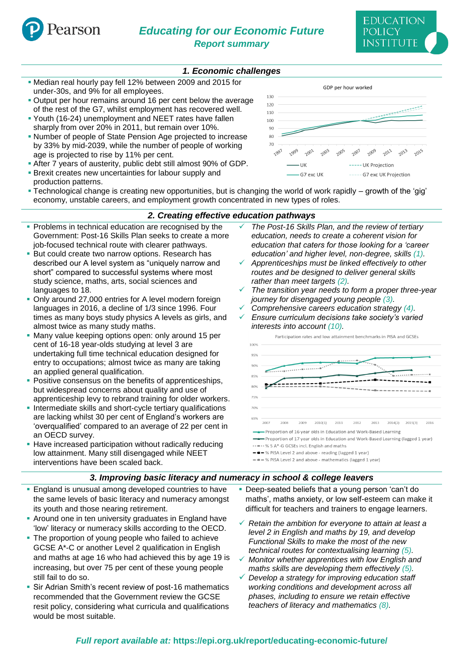

# *Educating for our Economic Future Report summary*

## *1. Economic challenges*

- Median real hourly pay fell 12% between 2009 and 2015 for under-30s, and 9% for all employees.
- Output per hour remains around 16 per cent below the average of the rest of the G7, whilst employment has recovered well.
- Youth (16-24) unemployment and NEET rates have fallen sharply from over 20% in 2011, but remain over 10%.
- Number of people of State Pension Age projected to increase by 33% by mid-2039, while the number of people of working age is projected to rise by 11% per cent.
- After 7 years of austerity, public debt still almost 90% of GDP. **Example 2** Brexit creates new uncertainties for labour supply and
- production patterns.



▪ Technological change is creating new opportunities, but is changing the world of work rapidly – growth of the 'gig' economy, unstable careers, and employment growth concentrated in new types of roles.

#### *2. Creating effective education pathways*

- **Problems in technical education are recognised by the** Government: Post-16 Skills Plan seeks to create a more job-focused technical route with clearer pathways.
- **But could create two narrow options. Research has** described our A level system as "uniquely narrow and short" compared to successful systems where most study science, maths, arts, social sciences and languages to 18.
- Only around 27,000 entries for A level modern foreign languages in 2016, a decline of 1/3 since 1996. Four times as many boys study physics A levels as girls, and almost twice as many study maths.
- Many value keeping options open: only around 15 per cent of 16-18 year-olds studying at level 3 are undertaking full time technical education designed for entry to occupations; almost twice as many are taking an applied general qualification.
- Positive consensus on the benefits of apprenticeships, but widespread concerns about quality and use of apprenticeship levy to rebrand training for older workers.
- **.** Intermediate skills and short-cycle tertiary qualifications are lacking whilst 30 per cent of England's workers are 'overqualified' compared to an average of 22 per cent in an OECD survey.
- **EXECT:** Have increased participation without radically reducing low attainment. Many still disengaged while NEET interventions have been scaled back.
- ✓ *The Post-16 Skills Plan, and the review of tertiary education, needs to create a coherent vision for education that caters for those looking for a 'career education' and higher level, non-degree, skills (1).* ✓ *Apprenticeships must be linked effectively to other*
- *routes and be designed to deliver general skills rather than meet targets (2).*
- The transition year needs to form a proper three-year *journey for disengaged young people (3).*
- ✓ *Comprehensive careers education strategy (4).*
- ✓ *Ensure curriculum decisions take society's varied interests into account (10).*



### *3. Improving basic literacy and numeracy in school & college leavers*

- **England is unusual among developed countries to have** the same levels of basic literacy and numeracy amongst its youth and those nearing retirement.
- **Around one in ten university graduates in England have** 'low' literacy or numeracy skills according to the OECD.
- **The proportion of young people who failed to achieve** GCSE A\*-C or another Level 2 qualification in English and maths at age 16 who had achieved this by age 19 is increasing, but over 75 per cent of these young people still fail to do so.
- **· Sir Adrian Smith's recent review of post-16 mathematics** recommended that the Government review the GCSE resit policy, considering what curricula and qualifications would be most suitable.
- **Deep-seated beliefs that a young person 'can't do** maths', maths anxiety, or low self-esteem can make it difficult for teachers and trainers to engage learners.
- ✓ *Retain the ambition for everyone to attain at least a level 2 in English and maths by 19, and develop Functional Skills to make the most of the new technical routes for contextualising learning (5).*
- ✓ *Monitor whether apprentices with low English and maths skills are developing them effectively (5).*
- ✓ *Develop a strategy for improving education staff working conditions and development across all phases, including to ensure we retain effective teachers of literacy and mathematics (8).*

## *Full report available at:* **https://epi.org.uk/report/educating-economic-future/**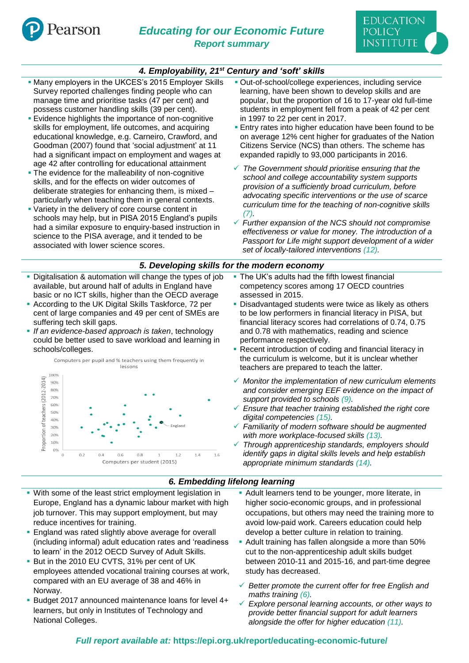

## *4. Employability, 21st Century and 'soft' skills*

- **. Many employers in the UKCES's 2015 Employer Skills** Survey reported challenges finding people who can manage time and prioritise tasks (47 per cent) and possess customer handling skills (39 per cent).
- **Exidence highlights the importance of non-cognitive** skills for employment, life outcomes, and acquiring educational knowledge, e.g. Carneiro, Crawford, and Goodman (2007) found that 'social adjustment' at 11 had a significant impact on employment and wages at age 42 after controlling for educational attainment
- **The evidence for the malleability of non-cognitive** skills, and for the effects on wider outcomes of deliberate strategies for enhancing them, is mixed – particularly when teaching them in general contexts.
- Variety in the delivery of core course content in schools may help, but in PISA 2015 England's pupils had a similar exposure to enquiry-based instruction in science to the PISA average, and it tended to be associated with lower science scores.
- Digitalisation & automation will change the types of job available, but around half of adults in England have basic or no ICT skills, higher than the OECD average
- According to the UK Digital Skills Taskforce, 72 per cent of large companies and 49 per cent of SMEs are suffering tech skill gaps.
- *If an evidence-based approach is taken*, technology could be better used to save workload and learning in schools/colleges.



- **Dut-of-school/college experiences, including service** learning, have been shown to develop skills and are popular, but the proportion of 16 to 17-year old full-time students in employment fell from a peak of 42 per cent in 1997 to 22 per cent in 2017.
- **Entry rates into higher education have been found to be** on average 12% cent higher for graduates of the Nation Citizens Service (NCS) than others. The scheme has expanded rapidly to 93,000 participants in 2016.
- ✓ *The Government should prioritise ensuring that the school and college accountability system supports provision of a sufficiently broad curriculum, before advocating specific interventions or the use of scarce curriculum time for the teaching of non-cognitive skills (7).*
- ✓ *Further expansion of the NCS should not compromise effectiveness or value for money. The introduction of a Passport for Life might support development of a wider set of locally-tailored interventions (12).*

#### *5. Developing skills for the modern economy*

- **The UK's adults had the fifth lowest financial** competency scores among 17 OECD countries assessed in 2015.
- Disadvantaged students were twice as likely as others to be low performers in financial literacy in PISA, but financial literacy scores had correlations of 0.74, 0.75 and 0.78 with mathematics, reading and science performance respectively.
- Recent introduction of coding and financial literacy in the curriculum is welcome, but it is unclear whether teachers are prepared to teach the latter.
- ✓ *Monitor the implementation of new curriculum elements and consider emerging EEF evidence on the impact of support provided to schools (9).*
- ✓ *Ensure that teacher training established the right core digital competencies (15).*
- ✓ *Familiarity of modern software should be augmented with more workplace-focused skills (13).*
- ✓ *Through apprenticeship standards, employers should identify gaps in digital skills levels and help establish appropriate minimum standards (14).*

### *6. Embedding lifelong learning*

- With some of the least strict employment legislation in Europe, England has a dynamic labour market with high job turnover. This may support employment, but may reduce incentives for training.
- **England was rated slightly above average for overall** (including informal) adult education rates and 'readiness to learn' in the 2012 OECD Survey of Adult Skills.
- **But in the 2010 EU CVTS, 31% per cent of UK** employees attended vocational training courses at work, compared with an EU average of 38 and 46% in Norway.
- Budget 2017 announced maintenance loans for level 4+ learners, but only in Institutes of Technology and National Colleges.
- **-** Adult learners tend to be younger, more literate, in higher socio-economic groups, and in professional occupations, but others may need the training more to avoid low-paid work. Careers education could help develop a better culture in relation to training.
- Adult training has fallen alongside a more than 50% cut to the non-apprenticeship adult skills budget between 2010-11 and 2015-16, and part-time degree study has decreased.
- ✓ *Better promote the current offer for free English and maths training (6).*
- ✓ *Explore personal learning accounts, or other ways to provide better financial support for adult learners alongside the offer for higher education (11).*

## *Full report available at:* **https://epi.org.uk/report/educating-economic-future/**